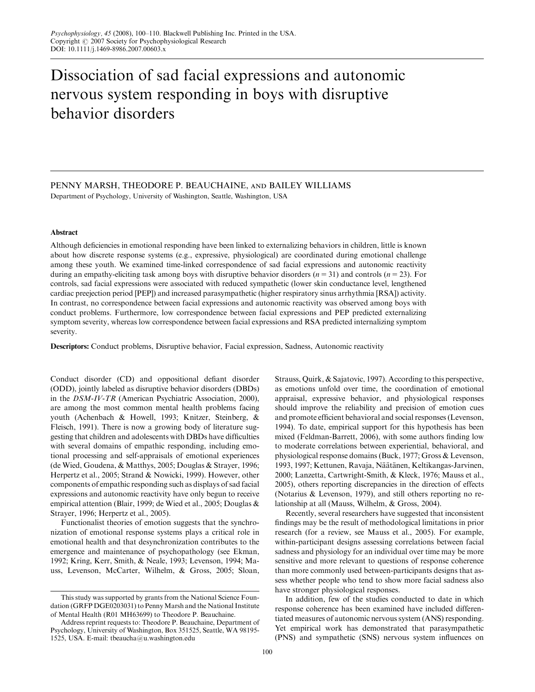# Dissociation of sad facial expressions and autonomic nervous system responding in boys with disruptive behavior disorders

# PENNY MARSH, THEODORE P. BEAUCHAINE, and BAILEY WILLIAMS

Department of Psychology, University of Washington, Seattle, Washington, USA

# Abstract

Although deficiencies in emotional responding have been linked to externalizing behaviors in children, little is known about how discrete response systems (e.g., expressive, physiological) are coordinated during emotional challenge among these youth. We examined time-linked correspondence of sad facial expressions and autonomic reactivity during an empathy-eliciting task among boys with disruptive behavior disorders  $(n = 31)$  and controls  $(n = 23)$ . For controls, sad facial expressions were associated with reduced sympathetic (lower skin conductance level, lengthened cardiac preejection period [PEP]) and increased parasympathetic (higher respiratory sinus arrhythmia [RSA]) activity. In contrast, no correspondence between facial expressions and autonomic reactivity was observed among boys with conduct problems. Furthermore, low correspondence between facial expressions and PEP predicted externalizing symptom severity, whereas low correspondence between facial expressions and RSA predicted internalizing symptom severity.

Descriptors: Conduct problems, Disruptive behavior, Facial expression, Sadness, Autonomic reactivity

Conduct disorder (CD) and oppositional defiant disorder (ODD), jointly labeled as disruptive behavior disorders (DBDs) in the DSM-IV-TR (American Psychiatric Association, 2000), are among the most common mental health problems facing youth (Achenbach & Howell, 1993; Knitzer, Steinberg, & Fleisch, 1991). There is now a growing body of literature suggesting that children and adolescents with DBDs have difficulties with several domains of empathic responding, including emotional processing and self-appraisals of emotional experiences (de Wied, Goudena, & Matthys, 2005; Douglas & Strayer, 1996; Herpertz et al., 2005; Strand & Nowicki, 1999). However, other components of empathic responding such as displays of sad facial expressions and autonomic reactivity have only begun to receive empirical attention (Blair, 1999; de Wied et al., 2005; Douglas & Strayer, 1996; Herpertz et al., 2005).

Functionalist theories of emotion suggests that the synchronization of emotional response systems plays a critical role in emotional health and that desynchronization contributes to the emergence and maintenance of psychopathology (see Ekman, 1992; Kring, Kerr, Smith, & Neale, 1993; Levenson, 1994; Mauss, Levenson, McCarter, Wilhelm, & Gross, 2005; Sloan, Strauss, Quirk, & Sajatovic, 1997). According to this perspective, as emotions unfold over time, the coordination of emotional appraisal, expressive behavior, and physiological responses should improve the reliability and precision of emotion cues and promote efficient behavioral and social responses (Levenson, 1994). To date, empirical support for this hypothesis has been mixed (Feldman-Barrett, 2006), with some authors finding low to moderate correlations between experiential, behavioral, and physiological response domains (Buck, 1977; Gross & Levenson, 1993, 1997; Kettunen, Ravaja, Näätänen, Keltikangas-Jarvinen, 2000; Lanzetta, Cartwright-Smith, & Kleck, 1976; Mauss et al., 2005), others reporting discrepancies in the direction of effects (Notarius & Levenson, 1979), and still others reporting no relationship at all (Mauss, Wilhelm, & Gross, 2004).

Recently, several researchers have suggested that inconsistent findings may be the result of methodological limitations in prior research (for a review, see Mauss et al., 2005). For example, within-participant designs assessing correlations between facial sadness and physiology for an individual over time may be more sensitive and more relevant to questions of response coherence than more commonly used between-participants designs that assess whether people who tend to show more facial sadness also have stronger physiological responses.

In addition, few of the studies conducted to date in which response coherence has been examined have included differentiated measures of autonomic nervous system (ANS) responding. Yet empirical work has demonstrated that parasympathetic (PNS) and sympathetic (SNS) nervous system influences on

This study was supported by grants from the National Science Foundation (GRFP DGE0203031) to Penny Marsh and the National Institute of Mental Health (R01 MH63699) to Theodore P. Beauchaine.

Address reprint requests to: Theodore P. Beauchaine, Department of Psychology, University of Washington, Box 351525, Seattle, WA 98195- 1525, USA. E-mail: tbeaucha@u.washington.edu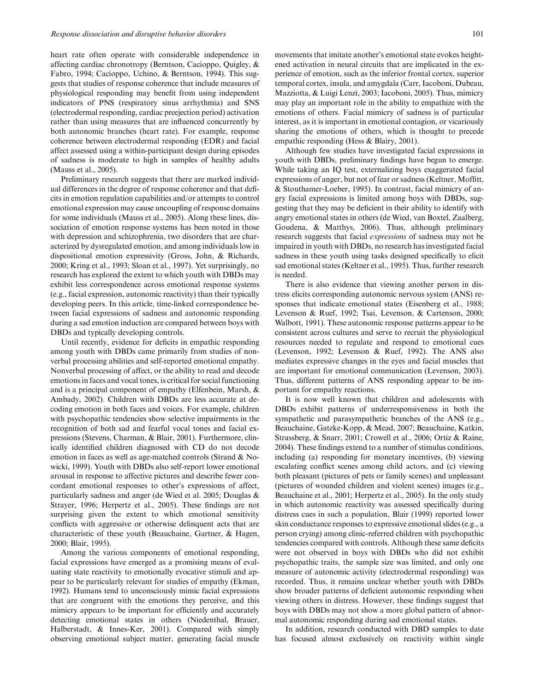heart rate often operate with considerable independence in affecting cardiac chronotropy (Berntson, Cacioppo, Quigley, & Fabro, 1994; Cacioppo, Uchino, & Berntson, 1994). This suggests that studies of response coherence that include measures of physiological responding may benefit from using independent indicators of PNS (respiratory sinus arrhythmia) and SNS (electrodermal responding, cardiac preejection period) activation rather than using measures that are influenced concurrently by both autonomic branches (heart rate). For example, response coherence between electrodermal responding (EDR) and facial affect assessed using a within-participant design during episodes of sadness is moderate to high in samples of healthy adults (Mauss et al., 2005).

Preliminary research suggests that there are marked individual differences in the degree of response coherence and that deficits in emotion regulation capabilities and/or attempts to control emotional expression may cause uncoupling of response domains for some individuals (Mauss et al., 2005). Along these lines, dissociation of emotion response systems has been noted in those with depression and schizophrenia, two disorders that are characterized by dysregulated emotion, and among individuals low in dispositional emotion expressivity (Gross, John, & Richards, 2000; Kring et al., 1993; Sloan et al., 1997). Yet surprisingly, no research has explored the extent to which youth with DBDs may exhibit less correspondence across emotional response systems (e.g., facial expression, autonomic reactivity) than their typically developing peers. In this article, time-linked correspondence between facial expressions of sadness and autonomic responding during a sad emotion induction are compared between boys with DBDs and typically developing controls.

Until recently, evidence for deficits in empathic responding among youth with DBDs came primarily from studies of nonverbal processing abilities and self-reported emotional empathy. Nonverbal processing of affect, or the ability to read and decode emotions in faces and vocal tones, is critical for social functioning and is a principal component of empathy (Elfenbein, Marsh, & Ambady, 2002). Children with DBDs are less accurate at decoding emotion in both faces and voices. For example, children with psychopathic tendencies show selective impairments in the recognition of both sad and fearful vocal tones and facial expressions (Stevens, Charman, & Blair, 2001). Furthermore, clinically identified children diagnosed with CD do not decode emotion in faces as well as age-matched controls (Strand & Nowicki, 1999). Youth with DBDs also self-report lower emotional arousal in response to affective pictures and describe fewer concordant emotional responses to other's expressions of affect, particularly sadness and anger (de Wied et al. 2005; Douglas & Strayer, 1996; Herpertz et al., 2005). These findings are not surprising given the extent to which emotional sensitivity conflicts with aggressive or otherwise delinquent acts that are characteristic of these youth (Beauchaine, Gartner, & Hagen, 2000; Blair, 1995).

Among the various components of emotional responding, facial expressions have emerged as a promising means of evaluating state reactivity to emotionally evocative stimuli and appear to be particularly relevant for studies of empathy (Ekman, 1992). Humans tend to unconsciously mimic facial expressions that are congruent with the emotions they perceive, and this mimicry appears to be important for efficiently and accurately detecting emotional states in others (Niedenthal, Brauer, Halberstadt, & Innes-Ker, 2001). Compared with simply observing emotional subject matter, generating facial muscle movements that imitate another's emotional state evokes heightened activation in neural circuits that are implicated in the experience of emotion, such as the inferior frontal cortex, superior temporal cortex, insula, and amygdala (Carr, Iacoboni, Dubeau, Mazziotta, & Luigi Lenzi, 2003; Iacoboni, 2005). Thus, mimicry may play an important role in the ability to empathize with the emotions of others. Facial mimicry of sadness is of particular interest, as it is important in emotional contagion, or vicariously sharing the emotions of others, which is thought to precede empathic responding (Hess & Blairy, 2001).

Although few studies have investigated facial expressions in youth with DBDs, preliminary findings have begun to emerge. While taking an IQ test, externalizing boys exaggerated facial expressions of anger, but not of fear or sadness (Keltner, Moffitt, & Stouthamer-Loeber, 1995). In contrast, facial mimicry of angry facial expressions is limited among boys with DBDs, suggesting that they may be deficient in their ability to identify with angry emotional states in others (de Wied, van Boxtel, Zaalberg, Goudena, & Matthys, 2006). Thus, although preliminary research suggests that facial expressions of sadness may not be impaired in youth with DBDs, no research has investigated facial sadness in these youth using tasks designed specifically to elicit sad emotional states (Keltner et al., 1995). Thus, further research is needed.

There is also evidence that viewing another person in distress elicits corresponding autonomic nervous system (ANS) responses that indicate emotional states (Eisenberg et al., 1988; Levenson & Ruef, 1992; Tsai, Levenson, & Cartenson, 2000; Walbott, 1991). These autonomic response patterns appear to be consistent across cultures and serve to recruit the physiological resources needed to regulate and respond to emotional cues (Levenson, 1992; Levenson & Ruef, 1992). The ANS also mediates expressive changes in the eyes and facial muscles that are important for emotional communication (Levenson, 2003). Thus, different patterns of ANS responding appear to be important for empathy reactions.

It is now well known that children and adolescents with DBDs exhibit patterns of underresponsiveness in both the sympathetic and parasympathetic branches of the ANS (e.g., Beauchaine, Gatzke-Kopp, & Mead, 2007; Beauchaine, Katkin, Strassberg, & Snarr, 2001; Crowell et al., 2006; Ortiz & Raine, 2004). These findings extend to a number of stimulus conditions, including (a) responding for monetary incentives, (b) viewing escalating conflict scenes among child actors, and (c) viewing both pleasant (pictures of pets or family scenes) and unpleasant (pictures of wounded children and violent scenes) images (e.g., Beauchaine et al., 2001; Herpertz et al., 2005). In the only study in which autonomic reactivity was assessed specifically during distress cues in such a population, Blair (1999) reported lower skin conductance responses to expressive emotional slides (e.g., a person crying) among clinic-referred children with psychopathic tendencies compared with controls. Although these same deficits were not observed in boys with DBDs who did not exhibit psychopathic traits, the sample size was limited, and only one measure of autonomic activity (electrodermal responding) was recorded. Thus, it remains unclear whether youth with DBDs show broader patterns of deficient autonomic responding when viewing others in distress. However, these findings suggest that boys with DBDs may not show a more global pattern of abnormal autonomic responding during sad emotional states.

In addition, research conducted with DBD samples to date has focused almost exclusively on reactivity within single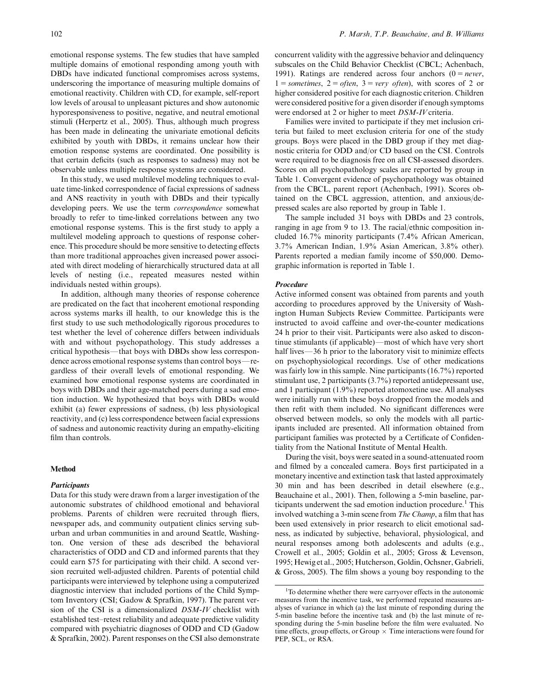emotional response systems. The few studies that have sampled multiple domains of emotional responding among youth with DBDs have indicated functional compromises across systems, underscoring the importance of measuring multiple domains of emotional reactivity. Children with CD, for example, self-report low levels of arousal to unpleasant pictures and show autonomic hyporesponsiveness to positive, negative, and neutral emotional stimuli (Herpertz et al., 2005). Thus, although much progress has been made in delineating the univariate emotional deficits exhibited by youth with DBDs, it remains unclear how their emotion response systems are coordinated. One possibility is that certain deficits (such as responses to sadness) may not be observable unless multiple response systems are considered.

In this study, we used multilevel modeling techniques to evaluate time-linked correspondence of facial expressions of sadness and ANS reactivity in youth with DBDs and their typically developing peers. We use the term correspondence somewhat broadly to refer to time-linked correlations between any two emotional response systems. This is the first study to apply a multilevel modeling approach to questions of response coherence. This procedure should be more sensitive to detecting effects than more traditional approaches given increased power associated with direct modeling of hierarchically structured data at all levels of nesting (i.e., repeated measures nested within individuals nested within groups).

In addition, although many theories of response coherence are predicated on the fact that incoherent emotional responding across systems marks ill health, to our knowledge this is the first study to use such methodologically rigorous procedures to test whether the level of coherence differs between individuals with and without psychopathology. This study addresses a critical hypothesis—that boys with DBDs show less correspondence across emotional response systems than control boys—regardless of their overall levels of emotional responding. We examined how emotional response systems are coordinated in boys with DBDs and their age-matched peers during a sad emotion induction. We hypothesized that boys with DBDs would exhibit (a) fewer expressions of sadness, (b) less physiological reactivity, and (c) less correspondence between facial expressions of sadness and autonomic reactivity during an empathy-eliciting film than controls.

#### Method

#### **Participants**

Data for this study were drawn from a larger investigation of the autonomic substrates of childhood emotional and behavioral problems. Parents of children were recruited through fliers, newspaper ads, and community outpatient clinics serving suburban and urban communities in and around Seattle, Washington. One version of these ads described the behavioral characteristics of ODD and CD and informed parents that they could earn \$75 for participating with their child. A second version recruited well-adjusted children. Parents of potential child participants were interviewed by telephone using a computerized diagnostic interview that included portions of the Child Symptom Inventory (CSI; Gadow & Sprafkin, 1997). The parent version of the CSI is a dimensionalized DSM-IV checklist with established test–retest reliability and adequate predictive validity compared with psychiatric diagnoses of ODD and CD (Gadow & Sprafkin, 2002). Parent responses on the CSI also demonstrate concurrent validity with the aggressive behavior and delinquency subscales on the Child Behavior Checklist (CBCL; Achenbach, 1991). Ratings are rendered across four anchors  $(0 = never,$  $1 =$  sometimes,  $2 =$  often,  $3 =$  very often), with scores of 2 or higher considered positive for each diagnostic criterion. Children were considered positive for a given disorder if enough symptoms were endorsed at 2 or higher to meet DSM-IV criteria.

Families were invited to participate if they met inclusion criteria but failed to meet exclusion criteria for one of the study groups. Boys were placed in the DBD group if they met diagnostic criteria for ODD and/or CD based on the CSI. Controls were required to be diagnosis free on all CSI-assessed disorders. Scores on all psychopathology scales are reported by group in Table 1. Convergent evidence of psychopathology was obtained from the CBCL, parent report (Achenbach, 1991). Scores obtained on the CBCL aggression, attention, and anxious/depressed scales are also reported by group in Table 1.

The sample included 31 boys with DBDs and 23 controls, ranging in age from 9 to 13. The racial/ethnic composition included 16.7% minority participants (7.4% African American, 3.7% American Indian, 1.9% Asian American, 3.8% other). Parents reported a median family income of \$50,000. Demographic information is reported in Table 1.

## Procedure

Active informed consent was obtained from parents and youth according to procedures approved by the University of Washington Human Subjects Review Committee. Participants were instructed to avoid caffeine and over-the-counter medications 24 h prior to their visit. Participants were also asked to discontinue stimulants (if applicable)—most of which have very short half lives $-36$  h prior to the laboratory visit to minimize effects on psychophysiological recordings. Use of other medications was fairly low in this sample. Nine participants (16.7%) reported stimulant use, 2 participants (3.7%) reported antidepressant use, and 1 participant (1.9%) reported atomoxetine use. All analyses were initially run with these boys dropped from the models and then refit with them included. No significant differences were observed between models, so only the models with all participants included are presented. All information obtained from participant families was protected by a Certificate of Confidentiality from the National Institute of Mental Health.

During the visit, boys were seated in a sound-attenuated room and filmed by a concealed camera. Boys first participated in a monetary incentive and extinction task that lasted approximately 30 min and has been described in detail elsewhere (e.g., Beauchaine et al., 2001). Then, following a 5-min baseline, participants underwent the sad emotion induction procedure.<sup>1</sup> This involved watching a 3-min scene from The Champ, a film that has been used extensively in prior research to elicit emotional sadness, as indicated by subjective, behavioral, physiological, and neural responses among both adolescents and adults (e.g., Crowell et al., 2005; Goldin et al., 2005; Gross & Levenson, 1995; Hewig et al., 2005; Hutcherson, Goldin, Ochsner, Gabrieli, & Gross, 2005). The film shows a young boy responding to the

<sup>&</sup>lt;sup>1</sup>To determine whether there were carryover effects in the autonomic measures from the incentive task, we performed repeated measures analyses of variance in which (a) the last minute of responding during the 5-min baseline before the incentive task and (b) the last minute of responding during the 5-min baseline before the film were evaluated. No time effects, group effects, or Group  $\times$  Time interactions were found for PEP, SCL, or RSA.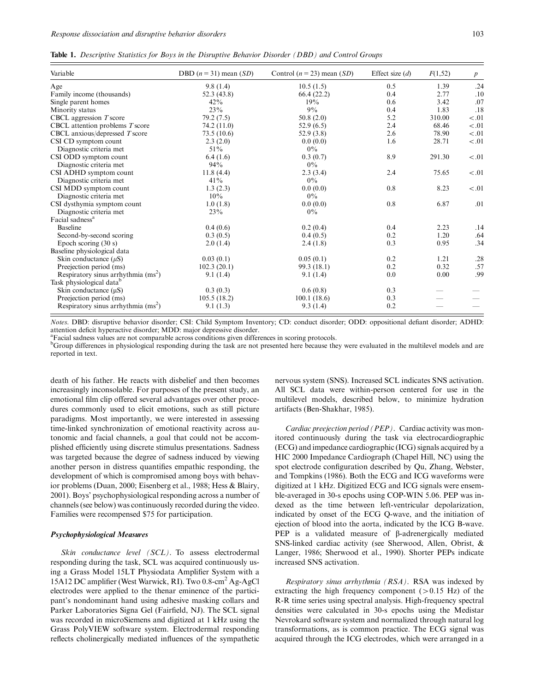|  |  |  |  |  |  |  |  | <b>Table 1.</b> Descriptive Statistics for Boys in the Disruptive Behavior Disorder (DBD) and Control Groups |  |
|--|--|--|--|--|--|--|--|--------------------------------------------------------------------------------------------------------------|--|
|--|--|--|--|--|--|--|--|--------------------------------------------------------------------------------------------------------------|--|

| Variable                                     | DBD $(n = 31)$ mean $(SD)$ | Control $(n = 23)$ mean $(SD)$ | Effect size $(d)$ | F(1,52) | $\boldsymbol{p}$ |
|----------------------------------------------|----------------------------|--------------------------------|-------------------|---------|------------------|
| Age                                          | 9.8(1.4)                   | 10.5(1.5)                      | 0.5               | 1.39    | .24              |
| Family income (thousands)                    | 52.3(43.8)                 | 66.4(22.2)                     | 0.4               | 2.77    | .10              |
| Single parent homes                          | 42%                        | 19%                            | 0.6               | 3.42    | .07              |
| Minority status                              | 23%                        | $9\%$                          | 0.4               | 1.83    | .18              |
| CBCL aggression $T$ score                    | 79.2(7.5)                  | 50.8(2.0)                      | 5.2               | 310.00  | < 0.01           |
| CBCL attention problems T score              | 74.2 (11.0)                | 52.9(6.5)                      | 2.4               | 68.46   | < 0.01           |
| CBCL anxious/depressed $T$ score             | 73.5(10.6)                 | 52.9(3.8)                      | 2.6               | 78.90   | < .01            |
| CSI CD symptom count                         | 2.3(2.0)                   | 0.0(0.0)                       | 1.6               | 28.71   | < 01             |
| Diagnostic criteria met                      | $51\%$                     | $0\%$                          |                   |         |                  |
| CSI ODD symptom count                        | 6.4(1.6)                   | 0.3(0.7)                       | 8.9               | 291.30  | < 01             |
| Diagnostic criteria met                      | 94%                        | $0\%$                          |                   |         |                  |
| CSI ADHD symptom count                       | 11.8(4.4)                  | 2.3(3.4)                       | 2.4               | 75.65   | < 0.01           |
| Diagnostic criteria met                      | 41%                        | $0\%$                          |                   |         |                  |
| CSI MDD symptom count                        | 1.3(2.3)                   | 0.0(0.0)                       | 0.8               | 8.23    | < 0.01           |
| Diagnostic criteria met                      | 10%                        | $0\%$                          |                   |         |                  |
| CSI dysthymia symptom count                  | 1.0(1.8)                   | 0.0(0.0)                       | 0.8               | 6.87    | .01              |
| Diagnostic criteria met                      | 23%                        | $0\%$                          |                   |         |                  |
| Facial sadness <sup>a</sup>                  |                            |                                |                   |         |                  |
| <b>Baseline</b>                              | 0.4(0.6)                   | 0.2(0.4)                       | 0.4               | 2.23    | .14              |
| Second-by-second scoring                     | 0.3(0.5)                   | 0.4(0.5)                       | 0.2               | 1.20    | .64              |
| Epoch scoring $(30 s)$                       | 2.0(1.4)                   | 2.4(1.8)                       | 0.3               | 0.95    | .34              |
| Baseline physiological data                  |                            |                                |                   |         |                  |
| Skin conductance $(\mu S)$                   | 0.03(0.1)                  | 0.05(0.1)                      | 0.2               | 1.21    | .28              |
| Preejection period (ms)                      | 102.3(20.1)                | 99.3 (18.1)                    | 0.2               | 0.32    | .57              |
| Respiratory sinus arrhythmia $\text{(ms}^2)$ | 9.1(1.4)                   | 9.1(1.4)                       | 0.0               | 0.00    | .99              |
| Task physiological data <sup>b</sup>         |                            |                                |                   |         |                  |
| Skin conductance $(\mu S)$                   | 0.3(0.3)                   | 0.6(0.8)                       | 0.3               |         |                  |
| Preejection period (ms)                      | 105.5(18.2)                | 100.1(18.6)                    | 0.3               |         |                  |
| Respiratory sinus arrhythmia $(ms^2)$        | 9.1(1.3)                   | 9.3(1.4)                       | 0.2               |         |                  |

Notes. DBD: disruptive behavior disorder; CSI: Child Symptom Inventory; CD: conduct disorder; ODD: oppositional defiant disorder; ADHD: attention deficit hyperactive disorder; MDD: major depressive disorder.

<sup>a</sup>Facial sadness values are not comparable across conditions given differences in scoring protocols.

<sup>b</sup>Group differences in physiological responding during the task are not presented here because they were evaluated in the multilevel models and are reported in text.

death of his father. He reacts with disbelief and then becomes increasingly inconsolable. For purposes of the present study, an emotional film clip offered several advantages over other procedures commonly used to elicit emotions, such as still picture paradigms. Most importantly, we were interested in assessing time-linked synchronization of emotional reactivity across autonomic and facial channels, a goal that could not be accomplished efficiently using discrete stimulus presentations. Sadness was targeted because the degree of sadness induced by viewing another person in distress quantifies empathic responding, the development of which is compromised among boys with behavior problems (Duan, 2000; Eisenberg et al., 1988; Hess & Blairy, 2001). Boys' psychophysiological responding across a number of channels (see below) was continuously recorded during the video. Families were recompensed \$75 for participation.

# Psychophysiological Measures

Skin conductance level (SCL). To assess electrodermal responding during the task, SCL was acquired continuously using a Grass Model 15LT Physiodata Amplifier System with a 15A12 DC amplifier (West Warwick, RI). Two 0.8-cm2 Ag-AgCl electrodes were applied to the thenar eminence of the participant's nondominant hand using adhesive masking collars and Parker Laboratories Signa Gel (Fairfield, NJ). The SCL signal was recorded in microSiemens and digitized at 1 kHz using the Grass PolyVIEW software system. Electrodermal responding reflects cholinergically mediated influences of the sympathetic nervous system (SNS). Increased SCL indicates SNS activation. All SCL data were within-person centered for use in the multilevel models, described below, to minimize hydration artifacts (Ben-Shakhar, 1985).

Cardiac preejection period (PEP). Cardiac activity was monitored continuously during the task via electrocardiographic (ECG) and impedance cardiographic (ICG) signals acquired by a HIC 2000 Impedance Cardiograph (Chapel Hill, NC) using the spot electrode configuration described by Qu, Zhang, Webster, and Tompkins (1986). Both the ECG and ICG waveforms were digitized at 1 kHz. Digitized ECG and ICG signals were ensemble-averaged in 30-s epochs using COP-WIN 5.06. PEP was indexed as the time between left-ventricular depolarization, indicated by onset of the ECG Q-wave, and the initiation of ejection of blood into the aorta, indicated by the ICG B-wave. PEP is a validated measure of  $\beta$ -adrenergically mediated SNS-linked cardiac activity (see Sherwood, Allen, Obrist, & Langer, 1986; Sherwood et al., 1990). Shorter PEPs indicate increased SNS activation.

Respiratory sinus arrhythmia (RSA). RSA was indexed by extracting the high frequency component  $(>0.15$  Hz) of the R-R time series using spectral analysis. High-frequency spectral densities were calculated in 30-s epochs using the Medistar Nevrokard software system and normalized through natural log transformations, as is common practice. The ECG signal was acquired through the ICG electrodes, which were arranged in a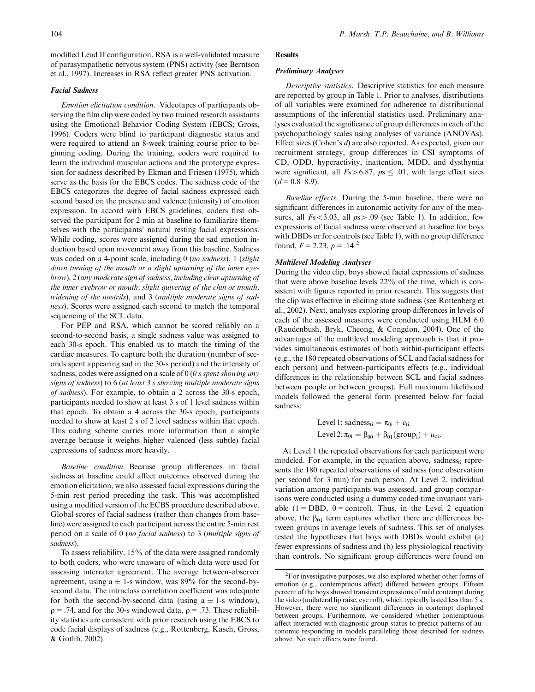modified Lead II configuration. RSA is a well-validated measure of parasympathetic nervous system (PNS) activity (see Berntson et al., 1997). Increases in RSA reflect greater PNS activation.

# Facial Sadness

Emotion elicitation condition. Videotapes of participants observing the film clip were coded by two trained research assistants using the Emotional Behavior Coding System (EBCS; Gross, 1996). Coders were blind to participant diagnostic status and were required to attend an 8-week training course prior to beginning coding. During the training, coders were required to learn the individual muscular actions and the prototype expression for sadness described by Ekman and Friesen (1975), which serve as the basis for the EBCS codes. The sadness code of the EBCS categorizes the degree of facial sadness expressed each second based on the presence and valence (intensity) of emotion expression. In accord with EBCS guidelines, coders first observed the participant for 2 min at baseline to familiarize themselves with the participants' natural resting facial expressions. While coding, scores were assigned during the sad emotion induction based upon movement away from this baseline. Sadness was coded on a 4-point scale, including 0 (no sadness), 1 (slight down turning of the mouth or a slight upturning of the inner eyebrow), 2 (any moderate sign of sadness, including clear upturning of the inner eyebrow or mouth, slight quivering of the chin or mouth, widening of the nostrils), and 3 (multiple moderate signs of sadness). Scores were assigned each second to match the temporal sequencing of the SCL data.

For PEP and RSA, which cannot be scored reliably on a second-to-second basis, a single sadness value was assigned to each 30-s epoch. This enabled us to match the timing of the cardiac measures. To capture both the duration (number of seconds spent appearing sad in the 30-s period) and the intensity of sadness, codes were assigned on a scale of 0 (0 s spent showing any signs of sadness) to 6 (at least 3 s showing multiple moderate signs of sadness). For example, to obtain a 2 across the 30-s epoch, participants needed to show at least 3 s of 1 level sadness within that epoch. To obtain a 4 across the 30-s epoch, participants needed to show at least 2 s of 2 level sadness within that epoch. This coding scheme carries more information than a simple average because it weights higher valenced (less subtle) facial expressions of sadness more heavily.

Baseline condition. Because group differences in facial sadness at baseline could affect outcomes observed during the emotion elicitation, we also assessed facial expressions during the 5-min rest period preceding the task. This was accomplished using a modified version of the ECBS procedure described above. Global scores of facial sadness (rather than changes from baseline) were assigned to each participant across the entire 5-min rest period on a scale of 0 (no facial sadness) to 3 (multiple signs of sadness).

To assess reliability, 15% of the data were assigned randomly to both coders, who were unaware of which data were used for assessing interrater agreement. The average between-observer agreement, using  $a \pm 1$ -s window, was 89% for the second-bysecond data. The intraclass correlation coefficient was adequate for both the second-by-second data (using  $a \pm 1$ -s window),  $\rho = .74$ , and for the 30-s windowed data,  $\rho = .73$ . These reliability statistics are consistent with prior research using the EBCS to code facial displays of sadness (e.g., Rottenberg, Kasch, Gross, & Gotlib, 2002).

# Results

## Preliminary Analyses

Descriptive statistics. Descriptive statistics for each measure are reported by group in Table 1. Prior to analyses, distributions of all variables were examined for adherence to distributional assumptions of the inferential statistics used. Preliminary analyses evaluated the significance of group differences in each of the psychopathology scales using analyses of variance (ANOVAs). Effect sizes (Cohen's d) are also reported. As expected, given our recruitment strategy, group differences in CSI symptoms of CD, ODD, hyperactivity, inattention, MDD, and dysthymia were significant, all  $Fs > 6.87$ ,  $ps \le .01$ , with large effect sizes  $(d = 0.8 - 8.9).$ 

Baseline effects. During the 5-min baseline, there were no significant differences in autonomic activity for any of the measures, all  $Fs < 3.03$ , all  $ps > .09$  (see Table 1). In addition, few expressions of facial sadness were observed at baseline for boys with DBDs or for controls (see Table 1), with no group difference found,  $F = 2.23$ ,  $p = .14$ .<sup>2</sup>

## Multilevel Modeling Analyses

During the video clip, boys showed facial expressions of sadness that were above baseline levels 22% of the time, which is consistent with figures reported in prior research. This suggests that the clip was effective in eliciting state sadness (see Rottenberg et al., 2002). Next, analyses exploring group differences in levels of each of the assessed measures were conducted using HLM 6.0 (Raudenbush, Bryk, Cheong, & Congdon, 2004). One of the advantages of the multilevel modeling approach is that it provides simultaneous estimates of both within-participant effects (e.g., the 180 repeated observations of SCL and facial sadness for each person) and between-participants effects (e.g., individual differences in the relationship between SCL and facial sadness between people or between groups). Full maximum likelihood models followed the general form presented below for facial sadness:

> Level 1: sadness<sub>ti</sub> =  $\pi_{0i} + e_{ti}$ Level 2:  $\pi_{0i} = \beta_{00} + \beta_{01}(\text{group}_i) + u_{0i}$ .

At Level 1 the repeated observations for each participant were modeled. For example, in the equation above, sadness $_{ti}$  represents the 180 repeated observations of sadness (one observation per second for 3 min) for each person. At Level 2, individual variation among participants was assessed, and group comparisons were conducted using a dummy coded time invariant variable  $(1 = DBD, 0 = control)$ . Thus, in the Level 2 equation above, the  $\beta_{01}$  term captures whether there are differences between groups in average levels of sadness. This set of analyses tested the hypotheses that boys with DBDs would exhibit (a) fewer expressions of sadness and (b) less physiological reactivity than controls. No significant group differences were found on

 ${}^{2}$ For investigative purposes, we also explored whether other forms of emotion (e.g., contemptuous affect) differed between groups. Fifteen percent of the boys showed transient expressions of mild contempt during the video (unilateral lip raise, eye roll), which typically lasted less than 5 s. However, there were no significant differences in contempt displayed between groups. Furthermore, we considered whether contemptuous affect interacted with diagnostic group status to predict patterns of autonomic responding in models paralleling those described for sadness above. No such effects were found.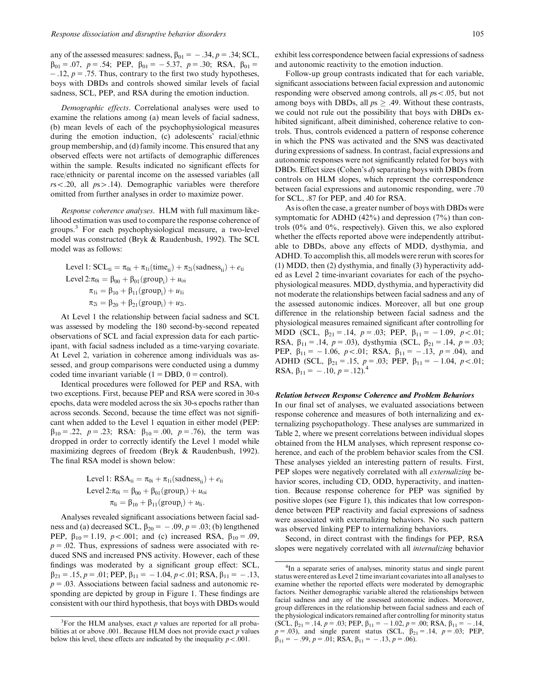any of the assessed measures: sadness,  $\beta_{01} = -.34, p = .34$ ; SCL,  $\beta_{01} = .07$ ,  $p = .54$ ; PEP,  $\beta_{01} = -5.37$ ,  $p = .30$ ; RSA,  $\beta_{01} =$  $-12$ ,  $p = 0.75$ . Thus, contrary to the first two study hypotheses, boys with DBDs and controls showed similar levels of facial sadness, SCL, PEP, and RSA during the emotion induction.

Demographic effects. Correlational analyses were used to examine the relations among (a) mean levels of facial sadness, (b) mean levels of each of the psychophysiological measures during the emotion induction, (c) adolescents' racial/ethnic group membership, and (d) family income. This ensured that any observed effects were not artifacts of demographic differences within the sample. Results indicated no significant effects for race/ethnicity or parental income on the assessed variables (all  $rs < .20$ , all  $ps > .14$ ). Demographic variables were therefore omitted from further analyses in order to maximize power.

Response coherence analyses. HLM with full maximum likelihood estimation was used to compare the response coherence of groups.3 For each psychophysiological measure, a two-level model was constructed (Bryk & Raudenbush, 1992). The SCL model was as follows:

Level 1: SCL<sub>ii</sub> = 
$$
\pi_{0i} + \pi_{1i}(\text{time}_{ti}) + \pi_{2i}(\text{sadness}_{ti}) + e_{ti}
$$
  
\nLevel  $2:\pi_{0i} = \beta_{00} + \beta_{01}(\text{group}_{i}) + u_{oi}$   
\n $\pi_{1i} = \beta_{10} + \beta_{11}(\text{group}_{i}) + u_{1i}$   
\n $\pi_{2i} = \beta_{20} + \beta_{21}(\text{group}_{i}) + u_{2i}.$ 

At Level 1 the relationship between facial sadness and SCL was assessed by modeling the 180 second-by-second repeated observations of SCL and facial expression data for each participant, with facial sadness included as a time-varying covariate. At Level 2, variation in coherence among individuals was assessed, and group comparisons were conducted using a dummy coded time invariant variable  $(1 = DBD, 0 = control)$ .

Identical procedures were followed for PEP and RSA, with two exceptions. First, because PEP and RSA were scored in 30-s epochs, data were modeled across the six 30-s epochs rather than across seconds. Second, because the time effect was not significant when added to the Level 1 equation in either model (PEP:  $\beta_{10} = .22$ ,  $p = .23$ ; RSA:  $\beta_{10} = .00$ ,  $p = .76$ ), the term was dropped in order to correctly identify the Level 1 model while maximizing degrees of freedom (Bryk & Raudenbush, 1992). The final RSA model is shown below:

Level 1: RSA<sub>ti</sub> = 
$$
\pi_{0i} + \pi_{1i}(\text{sadness}_{ti}) + e_{ti}
$$
  
Level 2: $\pi_{0i} = \beta_{00} + \beta_{01}(\text{group}_i) + u_{oi}$   
 $\pi_{li} = \beta_{10} + \beta_{11}(\text{group}_i) + u_{li}.$ 

Analyses revealed significant associations between facial sadness and (a) decreased SCL,  $\beta_{20} = -.09$ ,  $p = .03$ ; (b) lengthened PEP,  $\beta_{10} = 1.19$ ,  $p < .001$ ; and (c) increased RSA,  $\beta_{10} = .09$ ,  $p = .02$ . Thus, expressions of sadness were associated with reduced SNS and increased PNS activity. However, each of these findings was moderated by a significant group effect: SCL,  $\beta_{21} = .15, p = .01; PEP, \beta_{11} = -1.04, p < .01; RSA, \beta_{11} = -.13,$  $p = .03$ . Associations between facial sadness and autonomic responding are depicted by group in Figure 1. These findings are consistent with our third hypothesis, that boys with DBDs would exhibit less correspondence between facial expressions of sadness and autonomic reactivity to the emotion induction.

Follow-up group contrasts indicated that for each variable, significant associations between facial expression and autonomic responding were observed among controls, all  $ps < 0.05$ , but not among boys with DBDs, all  $ps \ge .49$ . Without these contrasts, we could not rule out the possibility that boys with DBDs exhibited significant, albeit diminished, coherence relative to controls. Thus, controls evidenced a pattern of response coherence in which the PNS was activated and the SNS was deactivated during expressions of sadness. In contrast, facial expressions and autonomic responses were not significantly related for boys with DBDs. Effect sizes (Cohen's d) separating boys with DBDs from controls on HLM slopes, which represent the correspondence between facial expressions and autonomic responding, were .70 for SCL, .87 for PEP, and .40 for RSA.

As is often the case, a greater number of boys with DBDs were symptomatic for ADHD (42%) and depression (7%) than controls (0% and 0%, respectively). Given this, we also explored whether the effects reported above were independently attributable to DBDs, above any effects of MDD, dysthymia, and ADHD. To accomplish this, all models were rerun with scores for (1) MDD, then (2) dysthymia, and finally (3) hyperactivity added as Level 2 time-invariant covariates for each of the psychophysiological measures. MDD, dysthymia, and hyperactivity did not moderate the relationships between facial sadness and any of the assessed autonomic indices. Moreover, all but one group difference in the relationship between facial sadness and the physiological measures remained significant after controlling for MDD (SCL,  $\beta_{21} = .14$ ,  $p = .03$ ; PEP,  $\beta_{11} = -1.09$ ,  $p < .01$ ; RSA,  $\beta_{11} = .14$ ,  $p = .03$ ), dysthymia (SCL,  $\beta_{21} = .14$ ,  $p = .03$ ; PEP,  $\beta_{11} = -1.06$ ,  $p < .01$ ; RSA,  $\beta_{11} = -.13$ ,  $p = .04$ ), and ADHD (SCL,  $\beta_{21} = .15$ ,  $p = .03$ ; PEP,  $\beta_{11} = -1.04$ ,  $p < .01$ ; RSA,  $\beta_{11} = -.10, p = .12$ .<sup>4</sup>

## Relation between Response Coherence and Problem Behaviors

In our final set of analyses, we evaluated associations between response coherence and measures of both internalizing and externalizing psychopathology. These analyses are summarized in Table 2, where we present correlations between individual slopes obtained from the HLM analyses, which represent response coherence, and each of the problem behavior scales from the CSI. These analyses yielded an interesting pattern of results. First, PEP slopes were negatively correlated with all *externalizing* behavior scores, including CD, ODD, hyperactivity, and inattention. Because response coherence for PEP was signified by positive slopes (see Figure 1), this indicates that low correspondence between PEP reactivity and facial expressions of sadness were associated with externalizing behaviors. No such pattern was observed linking PEP to internalizing behaviors.

Second, in direct contrast with the findings for PEP, RSA slopes were negatively correlated with all internalizing behavior

<sup>&</sup>lt;sup>3</sup>For the HLM analyses, exact  $p$  values are reported for all probabilities at or above .001. Because HLM does not provide exact  $p$  values below this level, these effects are indicated by the inequality  $p < .001$ .

<sup>&</sup>lt;sup>4</sup>In a separate series of analyses, minority status and single parent status were entered as Level 2 time invariant covariates into all analyses to examine whether the reported effects were moderated by demographic factors. Neither demographic variable altered the relationships between facial sadness and any of the assessed autonomic indices. Moreover, group differences in the relationship between facial sadness and each of the physiological indicators remained after controlling for minority status (SCL,  $\beta_{21} = .14$ ,  $p = .03$ ; PEP,  $\beta_{11} = -1.02$ ,  $p = .00$ ; RSA,  $\beta_{11} = -1.14$ ,  $p = .03$ ), and single parent status (SCL,  $\beta_{21} = .14$ ,  $p = .03$ ; PEP,  $\beta_{11} = -.99, p = .01;$  RSA,  $\beta_{11} = -.13, p = .06$ .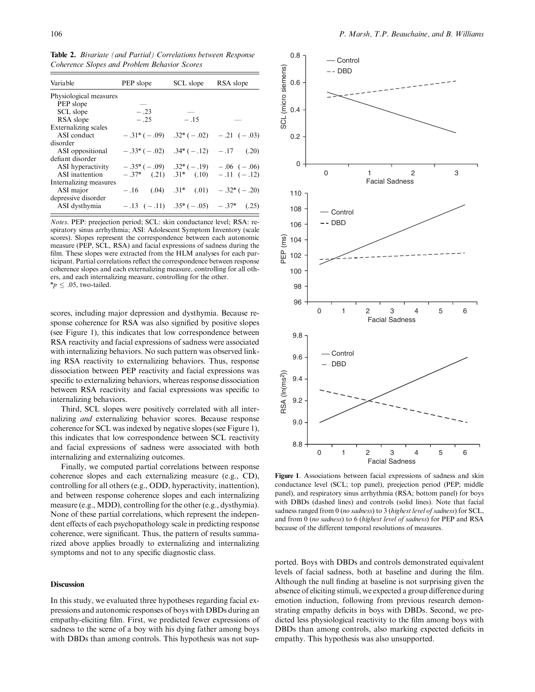Table 2. Bivariate (and Partial) Correlations between Response Coherence Slopes and Problem Behavior Scores

| Variable               | PEP slope                                      | SCL slope | RSA slope                                      |
|------------------------|------------------------------------------------|-----------|------------------------------------------------|
| Physiological measures |                                                |           |                                                |
| PEP slope              |                                                |           |                                                |
| SCL slope              | $-.23$                                         |           |                                                |
| RSA slope              | $-.25$                                         | $-.15$    |                                                |
| Externalizing scales   |                                                |           |                                                |
| ASI conduct            |                                                |           | $-31*(-09)$ $32*(-02)$ $-21(-03)$              |
| disorder               |                                                |           |                                                |
| ASI oppositional       |                                                |           | $-33*(-02)$ $34*(-12)$ $-17$ $(20)$            |
| defiant disorder       |                                                |           |                                                |
| ASI hyperactivity      | $-0.35^*(-0.09)$ $0.32^*(-1.9)$ $-0.06(-0.06)$ |           |                                                |
| ASI inattention        |                                                |           | $-.37^*$ (.21) $.31^*$ (.10) $-.11$ ( $-.12$ ) |
| Internalizing measures |                                                |           |                                                |
| ASI major              |                                                |           | $-.16$ (.04) $.31^*$ (.01) $-.32^*$ (.02)      |
| depressive disorder    |                                                |           |                                                |
| ASI dysthymia          |                                                |           | $-.13$ $(-.11)$ $.35*(-.05)$ $-.37*(.25)$      |

Notes. PEP: preejection period; SCL: skin conductance level; RSA: respiratory sinus arrhythmia; ASI: Adolescent Symptom Inventory (scale scores). Slopes represent the correspondence between each autonomic measure (PEP, SCL, RSA) and facial expressions of sadness during the film. These slopes were extracted from the HLM analyses for each participant. Partial correlations reflect the correspondence between response coherence slopes and each externalizing measure, controlling for all others, and each internalizing measure, controlling for the other.  $np \leq .05$ , two-tailed.

scores, including major depression and dysthymia. Because response coherence for RSA was also signified by positive slopes (see Figure 1), this indicates that low correspondence between RSA reactivity and facial expressions of sadness were associated with internalizing behaviors. No such pattern was observed linking RSA reactivity to externalizing behaviors. Thus, response dissociation between PEP reactivity and facial expressions was specific to externalizing behaviors, whereas response dissociation between RSA reactivity and facial expressions was specific to internalizing behaviors.

Third, SCL slopes were positively correlated with all internalizing and externalizing behavior scores. Because response coherence for SCL was indexed by negative slopes (see Figure 1), this indicates that low correspondence between SCL reactivity and facial expressions of sadness were associated with both internalizing and externalizing outcomes.

Finally, we computed partial correlations between response coherence slopes and each externalizing measure (e.g., CD), controlling for all others (e.g., ODD, hyperactivity, inattention), and between response coherence slopes and each internalizing measure (e.g., MDD), controlling for the other (e.g., dysthymia). None of these partial correlations, which represent the independent effects of each psychopathology scale in predicting response coherence, were significant. Thus, the pattern of results summarized above applies broadly to externalizing and internalizing symptoms and not to any specific diagnostic class.

# **Discussion**

In this study, we evaluated three hypotheses regarding facial expressions and autonomic responses of boys with DBDs during an empathy-eliciting film. First, we predicted fewer expressions of sadness to the scene of a boy with his dying father among boys with DBDs than among controls. This hypothesis was not sup-



Figure 1. Associations between facial expressions of sadness and skin conductance level (SCL; top panel), preejection period (PEP; middle panel), and respiratory sinus arrhythmia (RSA; bottom panel) for boys with DBDs (dashed lines) and controls (solid lines). Note that facial sadness ranged from 0 (no sadness) to 3 (highest level of sadness) for SCL, and from 0 (no sadness) to 6 (highest level of sadness) for PEP and RSA because of the different temporal resolutions of measures.

ported. Boys with DBDs and controls demonstrated equivalent levels of facial sadness, both at baseline and during the film. Although the null finding at baseline is not surprising given the absence of eliciting stimuli, we expected a group difference during emotion induction, following from previous research demonstrating empathy deficits in boys with DBDs. Second, we predicted less physiological reactivity to the film among boys with DBDs than among controls, also marking expected deficits in empathy. This hypothesis was also unsupported.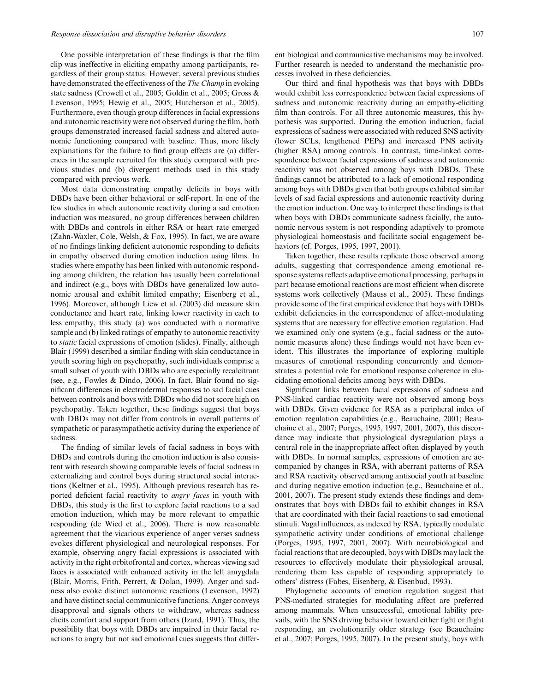One possible interpretation of these findings is that the film clip was ineffective in eliciting empathy among participants, regardless of their group status. However, several previous studies have demonstrated the effectiveness of the The Champ in evoking state sadness (Crowell et al., 2005; Goldin et al., 2005; Gross & Levenson, 1995; Hewig et al., 2005; Hutcherson et al., 2005). Furthermore, even though group differences in facial expressions and autonomic reactivity were not observed during the film, both groups demonstrated increased facial sadness and altered autonomic functioning compared with baseline. Thus, more likely explanations for the failure to find group effects are (a) differences in the sample recruited for this study compared with previous studies and (b) divergent methods used in this study compared with previous work.

Most data demonstrating empathy deficits in boys with DBDs have been either behavioral or self-report. In one of the few studies in which autonomic reactivity during a sad emotion induction was measured, no group differences between children with DBDs and controls in either RSA or heart rate emerged (Zahn-Waxler, Cole, Welsh, & Fox, 1995). In fact, we are aware of no findings linking deficient autonomic responding to deficits in empathy observed during emotion induction using films. In studies where empathy has been linked with autonomic responding among children, the relation has usually been correlational and indirect (e.g., boys with DBDs have generalized low autonomic arousal and exhibit limited empathy; Eisenberg et al., 1996). Moreover, although Liew et al. (2003) did measure skin conductance and heart rate, linking lower reactivity in each to less empathy, this study (a) was conducted with a normative sample and (b) linked ratings of empathy to autonomic reactivity to static facial expressions of emotion (slides). Finally, although Blair (1999) described a similar finding with skin conductance in youth scoring high on psychopathy, such individuals comprise a small subset of youth with DBDs who are especially recalcitrant (see, e.g., Fowles & Dindo, 2006). In fact, Blair found no significant differences in electrodermal responses to sad facial cues between controls and boys with DBDs who did not score high on psychopathy. Taken together, these findings suggest that boys with DBDs may not differ from controls in overall patterns of sympathetic or parasympathetic activity during the experience of sadness.

The finding of similar levels of facial sadness in boys with DBDs and controls during the emotion induction is also consistent with research showing comparable levels of facial sadness in externalizing and control boys during structured social interactions (Keltner et al., 1995). Although previous research has reported deficient facial reactivity to *angry faces* in youth with DBDs, this study is the first to explore facial reactions to a sad emotion induction, which may be more relevant to empathic responding (de Wied et al., 2006). There is now reasonable agreement that the vicarious experience of anger verses sadness evokes different physiological and neurological responses. For example, observing angry facial expressions is associated with activity in the right orbitofrontal and cortex, whereas viewing sad faces is associated with enhanced activity in the left amygdala (Blair, Morris, Frith, Perrett, & Dolan, 1999). Anger and sadness also evoke distinct autonomic reactions (Levenson, 1992) and have distinct social communicative functions. Anger conveys disapproval and signals others to withdraw, whereas sadness elicits comfort and support from others (Izard, 1991). Thus, the possibility that boys with DBDs are impaired in their facial reactions to angry but not sad emotional cues suggests that different biological and communicative mechanisms may be involved. Further research is needed to understand the mechanistic processes involved in these deficiencies.

Our third and final hypothesis was that boys with DBDs would exhibit less correspondence between facial expressions of sadness and autonomic reactivity during an empathy-eliciting film than controls. For all three autonomic measures, this hypothesis was supported. During the emotion induction, facial expressions of sadness were associated with reduced SNS activity (lower SCLs, lengthened PEPs) and increased PNS activity (higher RSA) among controls. In contrast, time-linked correspondence between facial expressions of sadness and autonomic reactivity was not observed among boys with DBDs. These findings cannot be attributed to a lack of emotional responding among boys with DBDs given that both groups exhibited similar levels of sad facial expressions and autonomic reactivity during the emotion induction. One way to interpret these findings is that when boys with DBDs communicate sadness facially, the autonomic nervous system is not responding adaptively to promote physiological homeostasis and facilitate social engagement behaviors (cf. Porges, 1995, 1997, 2001).

Taken together, these results replicate those observed among adults, suggesting that correspondence among emotional response systems reflects adaptive emotional processing, perhaps in part because emotional reactions are most efficient when discrete systems work collectively (Mauss et al., 2005). These findings provide some of the first empirical evidence that boys with DBDs exhibit deficiencies in the correspondence of affect-modulating systems that are necessary for effective emotion regulation. Had we examined only one system (e.g., facial sadness or the autonomic measures alone) these findings would not have been evident. This illustrates the importance of exploring multiple measures of emotional responding concurrently and demonstrates a potential role for emotional response coherence in elucidating emotional deficits among boys with DBDs.

Significant links between facial expressions of sadness and PNS-linked cardiac reactivity were not observed among boys with DBDs. Given evidence for RSA as a peripheral index of emotion regulation capabilities (e.g., Beauchaine, 2001; Beauchaine et al., 2007; Porges, 1995, 1997, 2001, 2007), this discordance may indicate that physiological dysregulation plays a central role in the inappropriate affect often displayed by youth with DBDs. In normal samples, expressions of emotion are accompanied by changes in RSA, with aberrant patterns of RSA and RSA reactivity observed among antisocial youth at baseline and during negative emotion induction (e.g., Beauchaine et al., 2001, 2007). The present study extends these findings and demonstrates that boys with DBDs fail to exhibit changes in RSA that are coordinated with their facial reactions to sad emotional stimuli. Vagal influences, as indexed by RSA, typically modulate sympathetic activity under conditions of emotional challenge (Porges, 1995, 1997, 2001, 2007). With neurobiological and facial reactions that are decoupled, boys with DBDs may lack the resources to effectively modulate their physiological arousal, rendering them less capable of responding appropriately to others' distress (Fabes, Eisenberg, & Eisenbud, 1993).

Phylogenetic accounts of emotion regulation suggest that PNS-mediated strategies for modulating affect are preferred among mammals. When unsuccessful, emotional lability prevails, with the SNS driving behavior toward either fight or flight responding, an evolutionarily older strategy (see Beauchaine et al., 2007; Porges, 1995, 2007). In the present study, boys with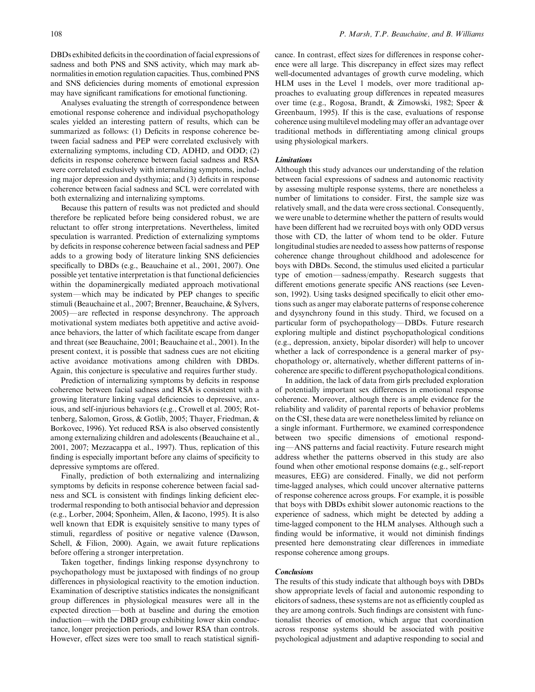DBDs exhibited deficits in the coordination of facial expressions of sadness and both PNS and SNS activity, which may mark abnormalities in emotion regulation capacities. Thus, combined PNS and SNS deficiencies during moments of emotional expression may have significant ramifications for emotional functioning.

Analyses evaluating the strength of correspondence between emotional response coherence and individual psychopathology scales yielded an interesting pattern of results, which can be summarized as follows: (1) Deficits in response coherence between facial sadness and PEP were correlated exclusively with externalizing symptoms, including CD, ADHD, and ODD; (2) deficits in response coherence between facial sadness and RSA were correlated exclusively with internalizing symptoms, including major depression and dysthymia; and (3) deficits in response coherence between facial sadness and SCL were correlated with both externalizing and internalizing symptoms.

Because this pattern of results was not predicted and should therefore be replicated before being considered robust, we are reluctant to offer strong interpretations. Nevertheless, limited speculation is warranted. Prediction of externalizing symptoms by deficits in response coherence between facial sadness and PEP adds to a growing body of literature linking SNS deficiencies specifically to DBDs (e.g., Beauchaine et al., 2001, 2007). One possible yet tentative interpretation is that functional deficiencies within the dopaminergically mediated approach motivational system—which may be indicated by PEP changes to specific stimuli (Beauchaine et al., 2007; Brenner, Beauchaine, & Sylvers, 2005)—are reflected in response desynchrony. The approach motivational system mediates both appetitive and active avoidance behaviors, the latter of which facilitate escape from danger and threat (see Beauchaine, 2001; Beauchaine et al., 2001). In the present context, it is possible that sadness cues are not eliciting active avoidance motivations among children with DBDs. Again, this conjecture is speculative and requires further study.

Prediction of internalizing symptoms by deficits in response coherence between facial sadness and RSA is consistent with a growing literature linking vagal deficiencies to depressive, anxious, and self-injurious behaviors (e.g., Crowell et al. 2005; Rottenberg, Salomon, Gross, & Gotlib, 2005; Thayer, Friedman, & Borkovec, 1996). Yet reduced RSA is also observed consistently among externalizing children and adolescents (Beauchaine et al., 2001, 2007; Mezzacappa et al., 1997). Thus, replication of this finding is especially important before any claims of specificity to depressive symptoms are offered.

Finally, prediction of both externalizing and internalizing symptoms by deficits in response coherence between facial sadness and SCL is consistent with findings linking deficient electrodermal responding to both antisocial behavior and depression (e.g., Lorber, 2004; Sponheim, Allen, & Iacono, 1995). It is also well known that EDR is exquisitely sensitive to many types of stimuli, regardless of positive or negative valence (Dawson, Schell, & Filion, 2000). Again, we await future replications before offering a stronger interpretation.

Taken together, findings linking response dysynchrony to psychopathology must be juxtaposed with findings of no group differences in physiological reactivity to the emotion induction. Examination of descriptive statistics indicates the nonsignificant group differences in physiological measures were all in the expected direction—both at baseline and during the emotion induction—with the DBD group exhibiting lower skin conductance, longer preejection periods, and lower RSA than controls. However, effect sizes were too small to reach statistical significance. In contrast, effect sizes for differences in response coherence were all large. This discrepancy in effect sizes may reflect well-documented advantages of growth curve modeling, which HLM uses in the Level 1 models, over more traditional approaches to evaluating group differences in repeated measures over time (e.g., Rogosa, Brandt, & Zimowski, 1982; Speer & Greenbaum, 1995). If this is the case, evaluations of response coherence using multilevel modeling may offer an advantage over traditional methods in differentiating among clinical groups using physiological markers.

## Limitations

Although this study advances our understanding of the relation between facial expressions of sadness and autonomic reactivity by assessing multiple response systems, there are nonetheless a number of limitations to consider. First, the sample size was relatively small, and the data were cross sectional. Consequently, we were unable to determine whether the pattern of results would have been different had we recruited boys with only ODD versus those with CD, the latter of whom tend to be older. Future longitudinal studies are needed to assess how patterns of response coherence change throughout childhood and adolescence for boys with DBDs. Second, the stimulus used elicited a particular type of emotion—sadness/empathy. Research suggests that different emotions generate specific ANS reactions (see Levenson, 1992). Using tasks designed specifically to elicit other emotions such as anger may elaborate patterns of response coherence and dysynchrony found in this study. Third, we focused on a particular form of psychopathology—DBDs. Future research exploring multiple and distinct psychopathological conditions (e.g., depression, anxiety, bipolar disorder) will help to uncover whether a lack of correspondence is a general marker of psychopathology or, alternatively, whether different patterns of incoherence are specific to different psychopathological conditions.

In addition, the lack of data from girls precluded exploration of potentially important sex differences in emotional response coherence. Moreover, although there is ample evidence for the reliability and validity of parental reports of behavior problems on the CSI, these data are were nonetheless limited by reliance on a single informant. Furthermore, we examined correspondence between two specific dimensions of emotional responding-ANS patterns and facial reactivity. Future research might address whether the patterns observed in this study are also found when other emotional response domains (e.g., self-report measures, EEG) are considered. Finally, we did not perform time-lagged analyses, which could uncover alternative patterns of response coherence across groups. For example, it is possible that boys with DBDs exhibit slower autonomic reactions to the experience of sadness, which might be detected by adding a time-lagged component to the HLM analyses. Although such a finding would be informative, it would not diminish findings presented here demonstrating clear differences in immediate response coherence among groups.

# **Conclusions**

The results of this study indicate that although boys with DBDs show appropriate levels of facial and autonomic responding to elicitors of sadness, these systems are not as efficiently coupled as they are among controls. Such findings are consistent with functionalist theories of emotion, which argue that coordination across response systems should be associated with positive psychological adjustment and adaptive responding to social and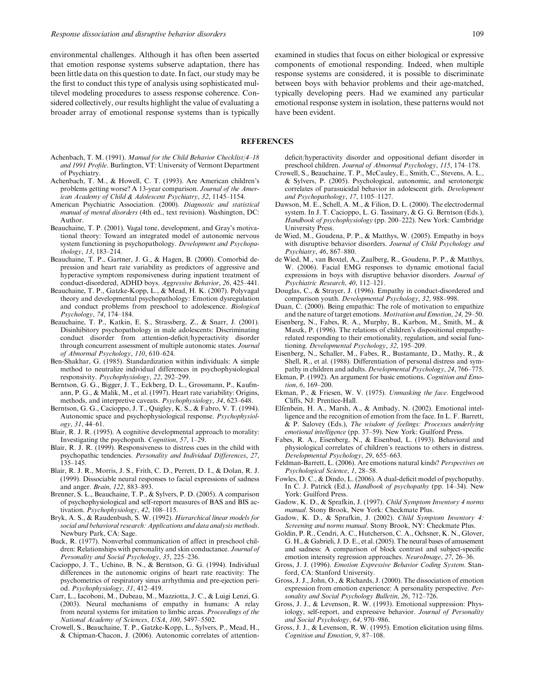environmental challenges. Although it has often been asserted that emotion response systems subserve adaptation, there has been little data on this question to date. In fact, our study may be the first to conduct this type of analysis using sophisticated multilevel modeling procedures to assess response coherence. Considered collectively, our results highlight the value of evaluating a broader array of emotional response systems than is typically examined in studies that focus on either biological or expressive components of emotional responding. Indeed, when multiple response systems are considered, it is possible to discriminate between boys with behavior problems and their age-matched, typically developing peers. Had we examined any particular emotional response system in isolation, these patterns would not have been evident.

## REFERENCES

- Achenbach, T. M. (1991). Manual for the Child Behavior Checklist/4–18 and 1991 Profile. Burlington, VT: University of Vermont Department of Psychiatry.
- Achenbach, T. M., & Howell, C. T. (1993). Are American children's problems getting worse? A 13-year comparison. Journal of the American Academy of Child & Adolescent Psychiatry, 32, 1145–1154.
- American Psychiatric Association. (2000). Diagnostic and statistical manual of mental disorders (4th ed., text revision). Washington, DC: Author.
- Beauchaine, T. P. (2001). Vagal tone, development, and Gray's motivational theory: Toward an integrated model of autonomic nervous system functioning in psychopathology. Development and Psychopathology, 13, 183–214.
- Beauchaine, T. P., Gartner, J. G., & Hagen, B. (2000). Comorbid depression and heart rate variability as predictors of aggressive and hyperactive symptom responsiveness during inpatient treatment of conduct-disordered, ADHD boys. Aggressive Behavior, 26, 425–441.
- Beauchaine, T. P., Gatzke-Kopp, L., & Mead, H. K. (2007). Polyvagal theory and developmental psychopathology: Emotion dysregulation and conduct problems from preschool to adolescence. Biological Psychology, 74, 174–184.
- Beauchaine, T. P., Katkin, E. S., Strassberg, Z., & Snarr, J. (2001). Disinhibitory psychopathology in male adolescents: Discriminating conduct disorder from attention-deficit/hyperactivity disorder through concurrent assessment of multiple autonomic states. Journal of Abnormal Psychology, 110, 610–624.
- Ben-Shakhar, G. (1985). Standardization within individuals: A simple method to neutralize individual differences in psychophysiological responsivity. Psychophysiology, 22, 292–299.
- Berntson, G. G., Bigger, J. T., Eckberg, D. L., Grossmann, P., Kaufmann, P. G., & Malik, M., et al. (1997). Heart rate variability: Origins, methods, and interpretive caveats. Psychophysiology, 34, 623–648.
- Berntson, G. G., Cacioppo, J. T., Quigley, K. S., & Fabro, V. T. (1994). Autonomic space and psychophysiological response. Psychophysiology, 31, 44–61.
- Blair, R. J. R. (1995). A cognitive developmental approach to morality: Investigating the psychopath. Cognition, 57, 1–29.
- Blair, R. J. R. (1999). Responsiveness to distress cues in the child with psychopathic tendencies. Personality and Individual Differences, 27, 135–145.
- Blair, R. J. R., Morris, J. S., Frith, C. D., Perrett, D. I., & Dolan, R. J. (1999). Dissociable neural responses to facial expressions of sadness and anger. Brain, 122, 883–893.
- Brenner, S. L., Beauchaine, T. P., & Sylvers, P. D. (2005). A comparison of psychophysiological and self-report measures of BAS and BIS activation. Psychophysiology, 42, 108–115.
- Bryk, A. S., & Raudenbush, S. W. (1992). Hierarchical linear models for social and behavioral research: Applications and data analysis methods. Newbury Park, CA: Sage.
- Buck, R. (1977). Nonverbal communication of affect in preschool children: Relationships with personality and skin conductance. Journal of Personality and Social Psychology, 35, 225–236.
- Cacioppo, J. T., Uchino, B. N., & Berntson, G. G. (1994). Individual differences in the autonomic origins of heart rate reactivity: The psychometrics of respiratory sinus arrhythmia and pre-ejection period. Psychophysiology, 31, 412–419.
- Carr, L., Iacoboni, M., Dubeau, M., Mazziotta, J. C., & Luigi Lenzi, G. (2003). Neural mechanisms of empathy in humans: A relay from neural systems for imitation to limbic areas. Proceedings of the National Academy of Sciences, USA, 100, 5497–5502.
- Crowell, S., Beauchaine, T. P., Gatzke-Kopp, L., Sylvers, P., Mead, H., & Chipman-Chacon, J. (2006). Autonomic correlates of attention-

deficit/hyperactivity disorder and oppositional defiant disorder in preschool children. Journal of Abnormal Psychology, 115, 174–178.

- Crowell, S., Beauchaine, T. P., McCauley, E., Smith, C., Stevens, A. L., & Sylvers, P. (2005). Psychological, autonomic, and serotonergic correlates of parasuicidal behavior in adolescent girls. Development and Psychopathology, 17, 1105–1127.
- Dawson, M. E., Schell, A. M., & Filion, D. L. (2000). The electrodermal system. In J. T. Cacioppo, L. G. Tassinary, & G. G. Berntson (Eds.), Handbook of psychophysiology (pp. 200–222). New York: Cambridge University Press.
- de Wied, M., Goudena, P. P., & Matthys, W. (2005). Empathy in boys with disruptive behavior disorders. Journal of Child Psychology and Psychiatry, 46, 867–880.
- de Wied, M., van Boxtel, A., Zaalberg, R., Goudena, P. P., & Matthys, W. (2006). Facial EMG responses to dynamic emotional facial expressions in boys with disruptive behavior disorders. Journal of Psychiatric Research, 40, 112–121.
- Douglas, C., & Strayer, J. (1996). Empathy in conduct-disordered and comparison youth. Developmental Psychology, 32, 988–998.
- Duan, C. (2000). Being empathic: The role of motivation to empathize and the nature of target emotions. Motivation and Emotion, 24, 29–50.
- Eisenberg, N., Fabes, R. A., Murphy, B., Karbon, M., Smith, M., & Maszk, P. (1996). The relations of children's dispositional empathyrelated responding to their emotionality, regulation, and social functioning. Developmental Psychology, 32, 195–209.
- Eisenberg, N., Schaller, M., Fabes, R., Bustamante, D., Mathy, R., & Shell, R., et al. (1988). Differentiation of personal distress and sympathy in children and adults. Developmental Psychology, 24, 766–775.
- Ekman, P. (1992). An argument for basic emotions. Cognition and Emotion, 6, 169–200.
- Ekman, P., & Friesen, W. V. (1975). Unmasking the face. Engelwood Cliffs, NJ: Prentice-Hall.
- Elfenbein, H. A., Marsh, A., & Ambady, N. (2002). Emotional intelligence and the recognition of emotion from the face. In L. F. Barrett, & P. Salovey (Eds.), The wisdom of feelings: Processes underlying emotional intelligence (pp. 37–59). New York: Guilford Press.
- Fabes, R. A., Eisenberg, N., & Eisenbud, L. (1993). Behavioral and physiological correlates of children's reactions to others in distress. Developmental Psychology, 29, 655–663.
- Feldman-Barrett, L. (2006). Are emotions natural kinds? Perspectives on Psychological Science, 1, 28–58.
- Fowles, D. C., & Dindo, L. (2006). A dual-deficit model of psychopathy. In C. J. Patrick (Ed.), Handbook of psychopathy (pp. 14–34). New York: Guilford Press.
- Gadow, K. D., & Sprafkin, J. (1997). Child Symptom Inventory 4 norms manual. Stony Brook, New York: Checkmate Plus.
- Gadow, K. D., & Sprafkin, J. (2002). Child Symptom Inventory 4: Screening and norms manual. Stony Brook, NY: Checkmate Plus.
- Goldin, P. R., Cendri, A. C., Hutcherson, C. A., Ochsner, K. N., Glover, G. H., & Gabrieli, J. D. E., et al. (2005). The neural bases of amusement and sadness: A comparison of block contrast and subject-specific emotion intensity regression approaches. NeuroImage, 27, 26–36.
- Gross, J. J. (1996). Emotion Expressive Behavior Coding System. Stanford, CA: Stanford University.
- Gross, J. J., John, O., & Richards, J. (2000). The dissociation of emotion expression from emotion experience: A personality perspective. Personality and Social Psychology Bulletin, 26, 712–726.
- Gross, J. J., & Levenson, R. W. (1993). Emotional suppression: Physiology, self-report, and expressive behavior. Journal of Personality and Social Psychology, 64, 970–986.
- Gross, J. J., & Levenson, R. W. (1995). Emotion elicitation using films. Cognition and Emotion, 9, 87–108.